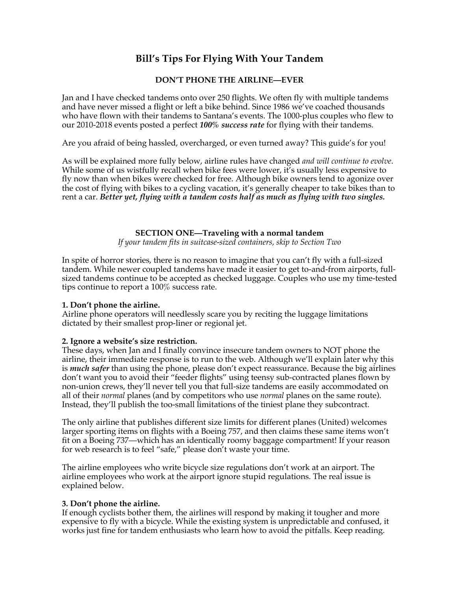# **Bill's Tips For Flying With Your Tandem**

# **DON'T PHONE THE AIRLINE—EVER**

Jan and I have checked tandems onto over 250 flights. We often fly with multiple tandems and have never missed a flight or left a bike behind. Since 1986 we've coached thousands who have flown with their tandems to Santana's events. The 1000-plus couples who flew to our 2010-2018 events posted a perfect *100% success rate* for flying with their tandems.

Are you afraid of being hassled, overcharged, or even turned away? This guide's for you!

As will be explained more fully below, airline rules have changed *and will continue to evolve*. While some of us wistfully recall when bike fees were lower, it's usually less expensive to fly now than when bikes were checked for free. Although bike owners tend to agonize over the cost of flying with bikes to a cycling vacation, it's generally cheaper to take bikes than to rent a car. *Better yet, flying with a tandem costs half as much as flying with two singles.*

## **SECTION ONE—Traveling with a normal tandem**

*If your tandem fits in suitcase-sized containers, skip to Section Two*

In spite of horror stories, there is no reason to imagine that you can't fly with a full-sized tandem. While newer coupled tandems have made it easier to get to-and-from airports, fullsized tandems continue to be accepted as checked luggage. Couples who use my time-tested tips continue to report a 100% success rate.

#### **1. Don't phone the airline.**

Airline phone operators will needlessly scare you by reciting the luggage limitations dictated by their smallest prop-liner or regional jet.

#### **2. Ignore a website's size restriction.**

These days, when Jan and I finally convince insecure tandem owners to NOT phone the airline, their immediate response is to run to the web. Although we'll explain later why this is *much safer* than using the phone, please don't expect reassurance. Because the big airlines don't want you to avoid their "feeder flights" using teensy sub-contracted planes flown by non-union crews, they'll never tell you that full-size tandems are easily accommodated on all of their *normal* planes (and by competitors who use *normal* planes on the same route). Instead, they'll publish the too-small limitations of the tiniest plane they subcontract.

The only airline that publishes different size limits for different planes (United) welcomes larger sporting items on flights with a Boeing 757, and then claims these same items won't fit on a Boeing 737—which has an identically roomy baggage compartment! If your reason for web research is to feel "safe," please don't waste your time.

The airline employees who write bicycle size regulations don't work at an airport. The airline employees who work at the airport ignore stupid regulations. The real issue is explained below.

# **3. Don't phone the airline.**

If enough cyclists bother them, the airlines will respond by making it tougher and more expensive to fly with a bicycle. While the existing system is unpredictable and confused, it works just fine for tandem enthusiasts who learn how to avoid the pitfalls. Keep reading.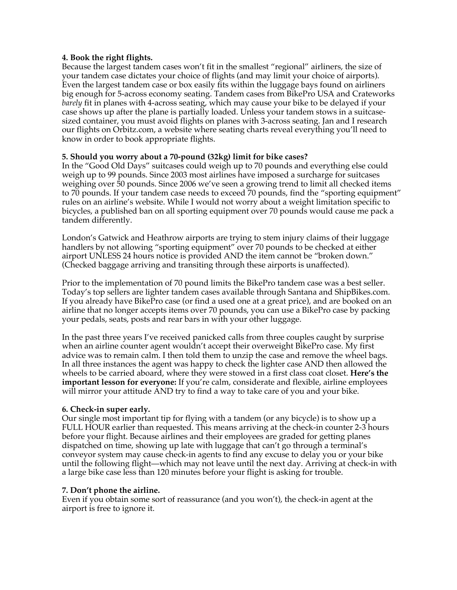#### **4. Book the right flights.**

Because the largest tandem cases won't fit in the smallest "regional" airliners, the size of your tandem case dictates your choice of flights (and may limit your choice of airports). Even the largest tandem case or box easily fits within the luggage bays found on airliners big enough for 5-across economy seating. Tandem cases from BikePro USA and Crateworks *barely* fit in planes with 4-across seating, which may cause your bike to be delayed if your case shows up after the plane is partially loaded. Unless your tandem stows in a suitcasesized container, you must avoid flights on planes with 3-across seating. Jan and I research our flights on Orbitz.com, a website where seating charts reveal everything you'll need to know in order to book appropriate flights.

## **5. Should you worry about a 70-pound (32kg) limit for bike cases?**

In the "Good Old Days" suitcases could weigh up to 70 pounds and everything else could weigh up to 99 pounds. Since 2003 most airlines have imposed a surcharge for suitcases weighing over 50 pounds. Since 2006 we've seen a growing trend to limit all checked items to 70 pounds. If your tandem case needs to exceed 70 pounds, find the "sporting equipment" rules on an airline's website. While I would not worry about a weight limitation specific to bicycles, a published ban on all sporting equipment over 70 pounds would cause me pack a tandem differently.

London's Gatwick and Heathrow airports are trying to stem injury claims of their luggage handlers by not allowing "sporting equipment" over 70 pounds to be checked at either airport UNLESS 24 hours notice is provided AND the item cannot be "broken down." (Checked baggage arriving and transiting through these airports is unaffected).

Prior to the implementation of 70 pound limits the BikePro tandem case was a best seller. Today's top sellers are lighter tandem cases available through Santana and ShipBikes.com. If you already have BikePro case (or find a used one at a great price), and are booked on an airline that no longer accepts items over 70 pounds, you can use a BikePro case by packing your pedals, seats, posts and rear bars in with your other luggage.

In the past three years I've received panicked calls from three couples caught by surprise when an airline counter agent wouldn't accept their overweight BikePro case. My first advice was to remain calm. I then told them to unzip the case and remove the wheel bags. In all three instances the agent was happy to check the lighter case AND then allowed the wheels to be carried aboard, where they were stowed in a first class coat closet. **Here's the important lesson for everyone:** If you're calm, considerate and flexible, airline employees will mirror your attitude AND try to find a way to take care of you and your bike.

#### **6. Check-in super early.**

Our single most important tip for flying with a tandem (or any bicycle) is to show up a FULL HOUR earlier than requested. This means arriving at the check-in counter 2-3 hours before your flight. Because airlines and their employees are graded for getting planes dispatched on time, showing up late with luggage that can't go through a terminal's conveyor system may cause check-in agents to find any excuse to delay you or your bike until the following flight—which may not leave until the next day. Arriving at check-in with a large bike case less than 120 minutes before your flight is asking for trouble.

#### **7. Don't phone the airline.**

Even if you obtain some sort of reassurance (and you won't), the check-in agent at the airport is free to ignore it.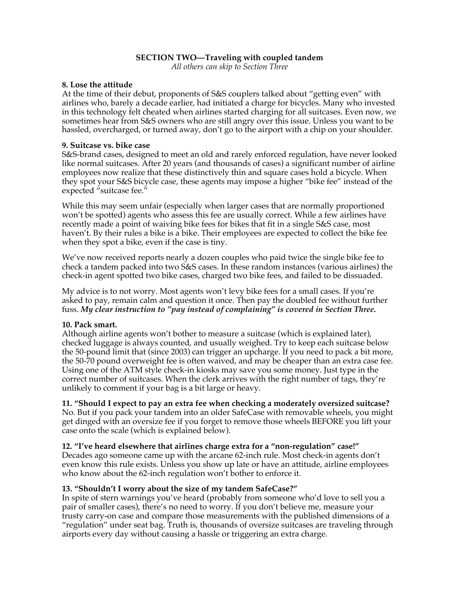## **SECTION TWO—Traveling with coupled tandem**

*All others can skip to Section Three*

#### **8. Lose the attitude**

At the time of their debut, proponents of S&S couplers talked about "getting even" with airlines who, barely a decade earlier, had initiated a charge for bicycles. Many who invested in this technology felt cheated when airlines started charging for all suitcases. Even now, we sometimes hear from S&S owners who are still angry over this issue. Unless you want to be hassled, overcharged, or turned away, don't go to the airport with a chip on your shoulder.

#### **9. Suitcase vs. bike case**

S&S-brand cases, designed to meet an old and rarely enforced regulation, have never looked like normal suitcases. After 20 years (and thousands of cases) a significant number of airline employees now realize that these distinctively thin and square cases hold a bicycle. When they spot your S&S bicycle case, these agents may impose a higher "bike fee" instead of the expected "suitcase fee."

While this may seem unfair (especially when larger cases that are normally proportioned won't be spotted) agents who assess this fee are usually correct. While a few airlines have recently made a point of waiving bike fees for bikes that fit in a single S&S case, most haven't. By their rules a bike is a bike. Their employees are expected to collect the bike fee when they spot a bike, even if the case is tiny.

We've now received reports nearly a dozen couples who paid twice the single bike fee to check a tandem packed into two S&S cases. In these random instances (various airlines) the check-in agent spotted two bike cases, charged two bike fees, and failed to be dissuaded.

My advice is to not worry. Most agents won't levy bike fees for a small cases. If you're asked to pay, remain calm and question it once. Then pay the doubled fee without further fuss. *My clear instruction to "pay instead of complaining" is covered in Section Three.*

#### **10. Pack smart.**

Although airline agents won't bother to measure a suitcase (which is explained later), checked luggage is always counted, and usually weighed. Try to keep each suitcase below the 50-pound limit that (since 2003) can trigger an upcharge. If you need to pack a bit more, the 50-70 pound overweight fee is often waived, and may be cheaper than an extra case fee. Using one of the ATM style check-in kiosks may save you some money. Just type in the correct number of suitcases. When the clerk arrives with the right number of tags, they're unlikely to comment if your bag is a bit large or heavy.

#### **11. "Should I expect to pay an extra fee when checking a moderately oversized suitcase?**

No. But if you pack your tandem into an older SafeCase with removable wheels, you might get dinged with an oversize fee if you forget to remove those wheels BEFORE you lift your case onto the scale (which is explained below).

#### **12. "I've heard elsewhere that airlines charge extra for a "non-regulation" case!"**

Decades ago someone came up with the arcane 62-inch rule. Most check-in agents don't even know this rule exists. Unless you show up late or have an attitude, airline employees who know about the 62-inch regulation won't bother to enforce it.

#### **13. "Shouldn't I worry about the size of my tandem SafeCase?"**

In spite of stern warnings you've heard (probably from someone who'd love to sell you a pair of smaller cases), there's no need to worry. If you don't believe me, measure your trusty carry-on case and compare those measurements with the published dimensions of a "regulation" under seat bag. Truth is, thousands of oversize suitcases are traveling through airports every day without causing a hassle or triggering an extra charge.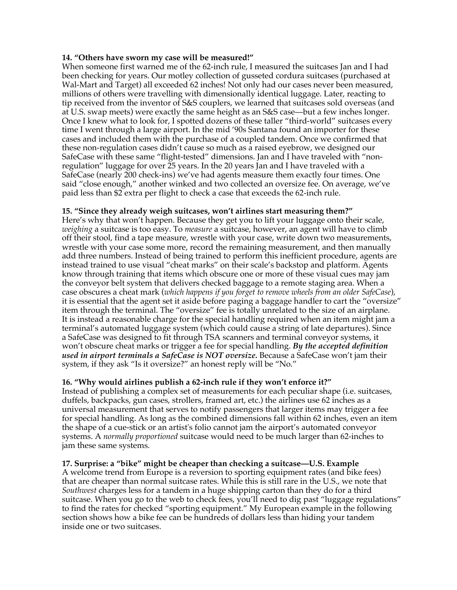#### **14. "Others have sworn my case will be measured!"**

When someone first warned me of the 62-inch rule, I measured the suitcases Jan and I had been checking for years. Our motley collection of gusseted cordura suitcases (purchased at Wal-Mart and Target) all exceeded 62 inches! Not only had our cases never been measured, millions of others were travelling with dimensionally identical luggage. Later, reacting to tip received from the inventor of S&S couplers, we learned that suitcases sold overseas (and at U.S. swap meets) were exactly the same height as an S&S case—but a few inches longer. Once I knew what to look for, I spotted dozens of these taller "third-world" suitcases every time I went through a large airport. In the mid '90s Santana found an importer for these cases and included them with the purchase of a coupled tandem. Once we confirmed that these non-regulation cases didn't cause so much as a raised eyebrow, we designed our SafeCase with these same "flight-tested" dimensions. Jan and I have traveled with "nonregulation" luggage for over 25 years. In the 20 years Jan and I have traveled with a SafeCase (nearly 200 check-ins) we've had agents measure them exactly four times. One said "close enough," another winked and two collected an oversize fee. On average, we've paid less than \$2 extra per flight to check a case that exceeds the 62-inch rule.

#### **15. "Since they already weigh suitcases, won't airlines start measuring them?"**

Here's why that won't happen. Because they get you to lift your luggage onto their scale, *weighing* a suitcase is too easy. To *measure* a suitcase, however, an agent will have to climb off their stool, find a tape measure, wrestle with your case, write down two measurements, wrestle with your case some more, record the remaining measurement, and then manually add three numbers. Instead of being trained to perform this inefficient procedure, agents are instead trained to use visual "cheat marks" on their scale's backstop and platform. Agents know through training that items which obscure one or more of these visual cues may jam the conveyor belt system that delivers checked baggage to a remote staging area. When a case obscures a cheat mark (*which happens if you forget to remove wheels from an older SafeCase*), it is essential that the agent set it aside before paging a baggage handler to cart the "oversize" item through the terminal. The "oversize" fee is totally unrelated to the size of an airplane. It is instead a reasonable charge for the special handling required when an item might jam a terminal's automated luggage system (which could cause a string of late departures). Since a SafeCase was designed to fit through TSA scanners and terminal conveyor systems, it won't obscure cheat marks or trigger a fee for special handling. *By the accepted definition used in airport terminals a SafeCase is NOT oversize.* Because a SafeCase won't jam their system, if they ask "Is it oversize?" an honest reply will be "No."

#### **16. "Why would airlines publish a 62-inch rule if they won't enforce it?"**

Instead of publishing a complex set of measurements for each peculiar shape (i.e. suitcases, duffels, backpacks, gun cases, strollers, framed art, etc.) the airlines use 62 inches as a universal measurement that serves to notify passengers that larger items may trigger a fee for special handling. As long as the combined dimensions fall within 62 inches, even an item the shape of a cue-stick or an artist's folio cannot jam the airport's automated conveyor systems. A *normally proportioned* suitcase would need to be much larger than 62-inches to jam these same systems.

**17. Surprise: a "bike" might be cheaper than checking a suitcase—U.S. Example** A welcome trend from Europe is a reversion to sporting equipment rates (and bike fees) that are cheaper than normal suitcase rates. While this is still rare in the U.S., we note that *Southwest* charges less for a tandem in a huge shipping carton than they do for a third suitcase. When you go to the web to check fees, you'll need to dig past "luggage regulations" to find the rates for checked "sporting equipment." My European example in the following section shows how a bike fee can be hundreds of dollars less than hiding your tandem inside one or two suitcases.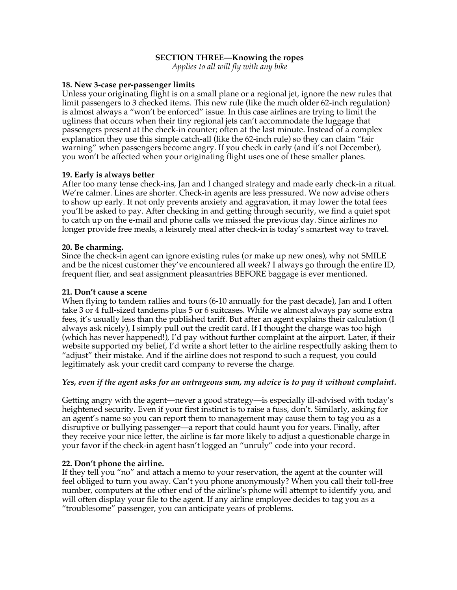#### **SECTION THREE—Knowing the ropes**

*Applies to all will fly with any bike*

#### **18. New 3-case per-passenger limits**

Unless your originating flight is on a small plane or a regional jet, ignore the new rules that limit passengers to 3 checked items. This new rule (like the much older 62-inch regulation) is almost always a "won't be enforced" issue. In this case airlines are trying to limit the ugliness that occurs when their tiny regional jets can't accommodate the luggage that passengers present at the check-in counter; often at the last minute. Instead of a complex explanation they use this simple catch-all (like the 62-inch rule) so they can claim "fair warning" when passengers become angry. If you check in early (and it's not December), you won't be affected when your originating flight uses one of these smaller planes.

#### **19. Early is always better**

After too many tense check-ins, Jan and I changed strategy and made early check-in a ritual. We're calmer. Lines are shorter. Check-in agents are less pressured. We now advise others to show up early. It not only prevents anxiety and aggravation, it may lower the total fees you'll be asked to pay. After checking in and getting through security, we find a quiet spot to catch up on the e-mail and phone calls we missed the previous day. Since airlines no longer provide free meals, a leisurely meal after check-in is today's smartest way to travel.

#### **20. Be charming.**

Since the check-in agent can ignore existing rules (or make up new ones), why not SMILE and be the nicest customer they've encountered all week? I always go through the entire ID, frequent flier, and seat assignment pleasantries BEFORE baggage is ever mentioned.

#### **21. Don't cause a scene**

When flying to tandem rallies and tours (6-10 annually for the past decade), Jan and I often take 3 or 4 full-sized tandems plus 5 or 6 suitcases. While we almost always pay some extra fees, it's usually less than the published tariff. But after an agent explains their calculation (I always ask nicely), I simply pull out the credit card. If I thought the charge was too high (which has never happened!), I'd pay without further complaint at the airport. Later, if their website supported my belief, I'd write a short letter to the airline respectfully asking them to "adjust" their mistake. And if the airline does not respond to such a request, you could legitimately ask your credit card company to reverse the charge.

# *Yes, even if the agent asks for an outrageous sum, my advice is to pay it without complaint.*

Getting angry with the agent—never a good strategy—is especially ill-advised with today's heightened security. Even if your first instinct is to raise a fuss, don't. Similarly, asking for an agent's name so you can report them to management may cause them to tag you as a disruptive or bullying passenger—a report that could haunt you for years. Finally, after they receive your nice letter, the airline is far more likely to adjust a questionable charge in your favor if the check-in agent hasn't logged an "unruly" code into your record.

# **22. Don't phone the airline.**

If they tell you "no" and attach a memo to your reservation, the agent at the counter will feel obliged to turn you away. Can't you phone anonymously? When you call their toll-free number, computers at the other end of the airline's phone will attempt to identify you, and will often display your file to the agent. If any airline employee decides to tag you as a "troublesome" passenger, you can anticipate years of problems.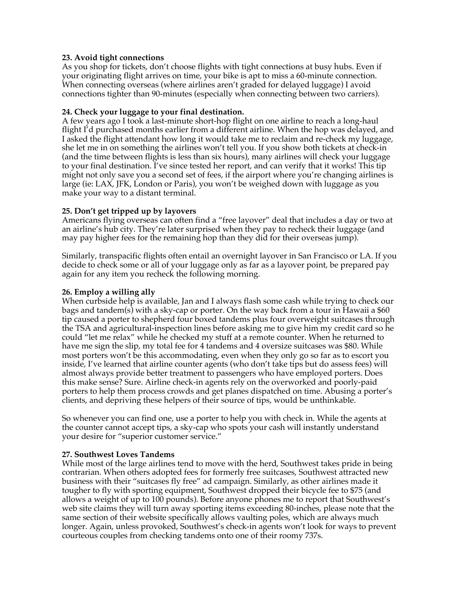## **23. Avoid tight connections**

As you shop for tickets, don't choose flights with tight connections at busy hubs. Even if your originating flight arrives on time, your bike is apt to miss a 60-minute connection. When connecting overseas (where airlines aren't graded for delayed luggage) I avoid connections tighter than 90-minutes (especially when connecting between two carriers).

#### **24. Check your luggage to your final destination.**

A few years ago I took a last-minute short-hop flight on one airline to reach a long-haul flight I'd purchased months earlier from a different airline. When the hop was delayed, and I asked the flight attendant how long it would take me to reclaim and re-check my luggage, she let me in on something the airlines won't tell you. If you show both tickets at check-in (and the time between flights is less than six hours), many airlines will check your luggage to your final destination. I've since tested her report, and can verify that it works! This tip might not only save you a second set of fees, if the airport where you're changing airlines is large (ie: LAX, JFK, London or Paris), you won't be weighed down with luggage as you make your way to a distant terminal.

## **25. Don't get tripped up by layovers**

Americans flying overseas can often find a "free layover" deal that includes a day or two at an airline's hub city. They're later surprised when they pay to recheck their luggage (and may pay higher fees for the remaining hop than they did for their overseas jump).

Similarly, transpacific flights often entail an overnight layover in San Francisco or LA. If you decide to check some or all of your luggage only as far as a layover point, be prepared pay again for any item you recheck the following morning.

#### **26. Employ a willing ally**

When curbside help is available, Jan and I always flash some cash while trying to check our bags and tandem(s) with a sky-cap or porter. On the way back from a tour in Hawaii a \$60 tip caused a porter to shepherd four boxed tandems plus four overweight suitcases through the TSA and agricultural-inspection lines before asking me to give him my credit card so he could "let me relax" while he checked my stuff at a remote counter. When he returned to have me sign the slip, my total fee for 4 tandems and 4 oversize suitcases was \$80. While most porters won't be this accommodating, even when they only go so far as to escort you inside, I've learned that airline counter agents (who don't take tips but do assess fees) will almost always provide better treatment to passengers who have employed porters. Does this make sense? Sure. Airline check-in agents rely on the overworked and poorly-paid porters to help them process crowds and get planes dispatched on time. Abusing a porter's clients, and depriving these helpers of their source of tips, would be unthinkable.

So whenever you can find one, use a porter to help you with check in. While the agents at the counter cannot accept tips, a sky-cap who spots your cash will instantly understand your desire for "superior customer service."

#### **27. Southwest Loves Tandems**

While most of the large airlines tend to move with the herd, Southwest takes pride in being contrarian. When others adopted fees for formerly free suitcases, Southwest attracted new business with their "suitcases fly free" ad campaign. Similarly, as other airlines made it tougher to fly with sporting equipment, Southwest dropped their bicycle fee to \$75 (and allows a weight of up to 100 pounds). Before anyone phones me to report that Southwest's web site claims they will turn away sporting items exceeding 80-inches, please note that the same section of their website specifically allows vaulting poles, which are always much longer. Again, unless provoked, Southwest's check-in agents won't look for ways to prevent courteous couples from checking tandems onto one of their roomy 737s.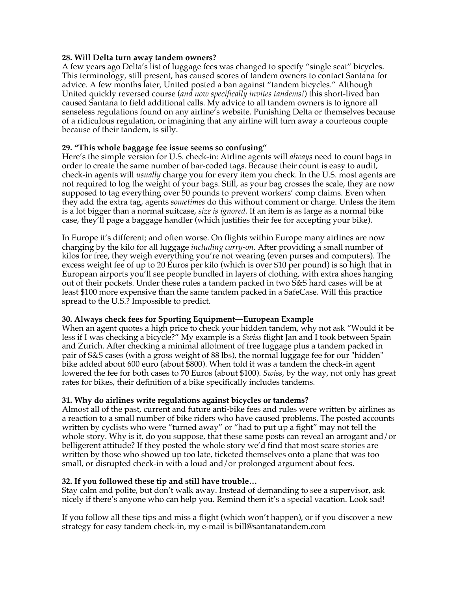#### **28. Will Delta turn away tandem owners?**

A few years ago Delta's list of luggage fees was changed to specify "single seat" bicycles. This terminology, still present, has caused scores of tandem owners to contact Santana for advice. A few months later, United posted a ban against "tandem bicycles." Although United quickly reversed course (*and now specifically invites tandems!*) this short-lived ban caused Santana to field additional calls. My advice to all tandem owners is to ignore all senseless regulations found on any airline's website. Punishing Delta or themselves because of a ridiculous regulation, or imagining that any airline will turn away a courteous couple because of their tandem, is silly.

## **29. "This whole baggage fee issue seems so confusing"**

Here's the simple version for U.S. check-in: Airline agents will *always* need to count bags in order to create the same number of bar-coded tags. Because their count is easy to audit, check-in agents will *usually* charge you for every item you check. In the U.S. most agents are not required to log the weight of your bags. Still, as your bag crosses the scale, they are now supposed to tag everything over 50 pounds to prevent workers' comp claims. Even when they add the extra tag, agents *sometimes* do this without comment or charge. Unless the item is a lot bigger than a normal suitcase, *size is ignored.* If an item is as large as a normal bike case, they'll page a baggage handler (which justifies their fee for accepting your bike).

In Europe it's different; and often worse. On flights within Europe many airlines are now charging by the kilo for all luggage *including carry-on*. After providing a small number of kilos for free, they weigh everything you're not wearing (even purses and computers). The excess weight fee of up to 20 Euros per kilo (which is over \$10 per pound) is so high that in European airports you'll see people bundled in layers of clothing, with extra shoes hanging out of their pockets. Under these rules a tandem packed in two S&S hard cases will be at least \$100 more expensive than the same tandem packed in a SafeCase. Will this practice spread to the U.S.? Impossible to predict.

#### **30. Always check fees for Sporting Equipment—European Example**

When an agent quotes a high price to check your hidden tandem, why not ask "Would it be less if I was checking a bicycle?" My example is a *Swiss* flight Jan and I took between Spain and Zurich. After checking a minimal allotment of free luggage plus a tandem packed in pair of S&S cases (with a gross weight of 88 lbs), the normal luggage fee for our "hidden" bike added about 600 euro (about \$800). When told it was a tandem the check-in agent lowered the fee for both cases to 70 Euros (about \$100). *Swiss*, by the way, not only has great rates for bikes, their definition of a bike specifically includes tandems.

# **31. Why do airlines write regulations against bicycles or tandems?**

Almost all of the past, current and future anti-bike fees and rules were written by airlines as a reaction to a small number of bike riders who have caused problems. The posted accounts written by cyclists who were "turned away" or "had to put up a fight" may not tell the whole story. Why is it, do you suppose, that these same posts can reveal an arrogant and/or belligerent attitude? If they posted the whole story we'd find that most scare stories are written by those who showed up too late, ticketed themselves onto a plane that was too small, or disrupted check-in with a loud and/or prolonged argument about fees.

# **32. If you followed these tip and still have trouble…**

Stay calm and polite, but don't walk away. Instead of demanding to see a supervisor, ask nicely if there's anyone who can help you. Remind them it's a special vacation. Look sad!

If you follow all these tips and miss a flight (which won't happen), or if you discover a new strategy for easy tandem check-in, my e-mail is bill@santanatandem.com